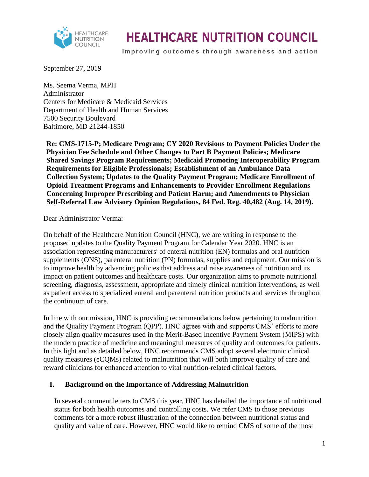

# **HEALTHCARE NUTRITION COUNCIL**

Improving outcomes through awareness and action

September 27, 2019

Ms. Seema Verma, MPH Administrator Centers for Medicare & Medicaid Services Department of Health and Human Services 7500 Security Boulevard Baltimore, MD 21244-1850

**Re: CMS-1715-P; Medicare Program; CY 2020 Revisions to Payment Policies Under the Physician Fee Schedule and Other Changes to Part B Payment Policies; Medicare Shared Savings Program Requirements; Medicaid Promoting Interoperability Program Requirements for Eligible Professionals; Establishment of an Ambulance Data Collection System; Updates to the Quality Payment Program; Medicare Enrollment of Opioid Treatment Programs and Enhancements to Provider Enrollment Regulations Concerning Improper Prescribing and Patient Harm; and Amendments to Physician Self-Referral Law Advisory Opinion Regulations, 84 Fed. Reg. 40,482 (Aug. 14, 2019).** 

Dear Administrator Verma:

On behalf of the Healthcare Nutrition Council (HNC), we are writing in response to the proposed updates to the Quality Payment Program for Calendar Year 2020. HNC is an association representing manufacturers<sup>i</sup> of enteral nutrition (EN) formulas and oral nutrition supplements (ONS), parenteral nutrition (PN) formulas, supplies and equipment. Our mission is to improve health by advancing policies that address and raise awareness of nutrition and its impact on patient outcomes and healthcare costs. Our organization aims to promote nutritional screening, diagnosis, assessment, appropriate and timely clinical nutrition interventions, as well as patient access to specialized enteral and parenteral nutrition products and services throughout the continuum of care.

In line with our mission, HNC is providing recommendations below pertaining to malnutrition and the Quality Payment Program (QPP). HNC agrees with and supports CMS' efforts to more closely align quality measures used in the Merit-Based Incentive Payment System (MIPS) with the modern practice of medicine and meaningful measures of quality and outcomes for patients. In this light and as detailed below, HNC recommends CMS adopt several electronic clinical quality measures (eCQMs) related to malnutrition that will both improve quality of care and reward clinicians for enhanced attention to vital nutrition-related clinical factors.

#### **I. Background on the Importance of Addressing Malnutrition**

In several comment letters to CMS this year, HNC has detailed the importance of nutritional status for both health outcomes and controlling costs. We refer CMS to those previous comments for a more robust illustration of the connection between nutritional status and quality and value of care. However, HNC would like to remind CMS of some of the most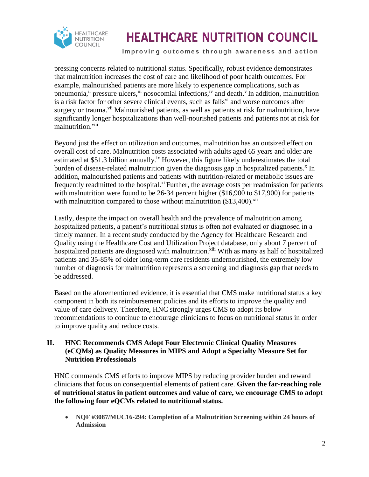

# **HEALTHCARE NUTRITION COUNCIL**

Improving outcomes through awareness and action

pressing concerns related to nutritional status. Specifically, robust evidence demonstrates that malnutrition increases the cost of care and likelihood of poor health outcomes. For example, malnourished patients are more likely to experience complications, such as pneumonia,<sup>ii</sup> pressure ulcers, iii nosocomial infections, <sup>iv</sup> and death. <sup>v</sup> In addition, malnutrition is a risk factor for other severe clinical events, such as falls<sup>vi</sup> and worse outcomes after surgery or trauma.<sup>vii</sup> Malnourished patients, as well as patients at risk for malnutrition, have significantly longer hospitalizations than well-nourished patients and patients not at risk for malnutrition.<sup>viii</sup>

Beyond just the effect on utilization and outcomes, malnutrition has an outsized effect on overall cost of care. Malnutrition costs associated with adults aged 65 years and older are estimated at \$51.3 billion annually.<sup>ix</sup> However, this figure likely underestimates the total burden of disease-related malnutrition given the diagnosis gap in hospitalized patients.<sup>x</sup> In addition, malnourished patients and patients with nutrition-related or metabolic issues are frequently readmitted to the hospital.<sup>xi</sup> Further, the average costs per readmission for patients with malnutrition were found to be 26-34 percent higher (\$16,900 to \$17,900) for patients with malnutrition compared to those without malnutrition  $(\$13,400)$ <sup>xii</sup>

Lastly, despite the impact on overall health and the prevalence of malnutrition among hospitalized patients, a patient's nutritional status is often not evaluated or diagnosed in a timely manner. In a recent study conducted by the Agency for Healthcare Research and Quality using the Healthcare Cost and Utilization Project database, only about 7 percent of hospitalized patients are diagnosed with malnutrition.<sup>xiii</sup> With as many as half of hospitalized patients and 35-85% of older long-term care residents undernourished, the extremely low number of diagnosis for malnutrition represents a screening and diagnosis gap that needs to be addressed.

Based on the aforementioned evidence, it is essential that CMS make nutritional status a key component in both its reimbursement policies and its efforts to improve the quality and value of care delivery. Therefore, HNC strongly urges CMS to adopt its below recommendations to continue to encourage clinicians to focus on nutritional status in order to improve quality and reduce costs.

#### **II. HNC Recommends CMS Adopt Four Electronic Clinical Quality Measures (eCQMs) as Quality Measures in MIPS and Adopt a Specialty Measure Set for Nutrition Professionals**

HNC commends CMS efforts to improve MIPS by reducing provider burden and reward clinicians that focus on consequential elements of patient care. **Given the far-reaching role of nutritional status in patient outcomes and value of care, we encourage CMS to adopt the following four eQCMs related to nutritional status.**

 **NQF #3087/MUC16-294: Completion of a Malnutrition Screening within 24 hours of Admission**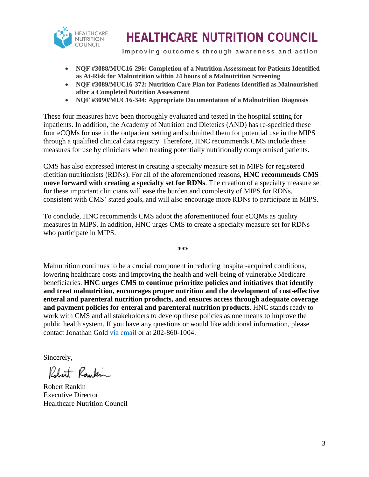

## **HEALTHCARE NUTRITION COUNCIL**

Improving outcomes through awareness and action

- **NQF #3088/MUC16-296: Completion of a Nutrition Assessment for Patients Identified as At-Risk for Malnutrition within 24 hours of a Malnutrition Screening**
- **NQF #3089/MUC16-372: Nutrition Care Plan for Patients Identified as Malnourished after a Completed Nutrition Assessment**
- **NQF #3090/MUC16-344: Appropriate Documentation of a Malnutrition Diagnosis**

These four measures have been thoroughly evaluated and tested in the hospital setting for inpatients. In addition, the Academy of Nutrition and Dietetics (AND) has re-specified these four eCQMs for use in the outpatient setting and submitted them for potential use in the MIPS through a qualified clinical data registry. Therefore, HNC recommends CMS include these measures for use by clinicians when treating potentially nutritionally compromised patients.

CMS has also expressed interest in creating a specialty measure set in MIPS for registered dietitian nutritionists (RDNs). For all of the aforementioned reasons, **HNC recommends CMS move forward with creating a specialty set for RDNs**. The creation of a specialty measure set for these important clinicians will ease the burden and complexity of MIPS for RDNs, consistent with CMS' stated goals, and will also encourage more RDNs to participate in MIPS.

To conclude, HNC recommends CMS adopt the aforementioned four eCQMs as quality measures in MIPS. In addition, HNC urges CMS to create a specialty measure set for RDNs who participate in MIPS.

**\*\*\***

Malnutrition continues to be a crucial component in reducing hospital-acquired conditions, lowering healthcare costs and improving the health and well-being of vulnerable Medicare beneficiaries. **HNC urges CMS to continue prioritize policies and initiatives that identify and treat malnutrition, encourages proper nutrition and the development of cost-effective enteral and parenteral nutrition products, and ensures access through adequate coverage and payment policies for enteral and parenteral nutrition products**. HNC stands ready to work with CMS and all stakeholders to develop these policies as one means to improve the public health system. If you have any questions or would like additional information, please contact Jonathan Gold [via email](mailto:jgold@kellencompany.com) or at 202-860-1004.

Sincerely,

Robert Rankin

Robert Rankin Executive Director Healthcare Nutrition Council